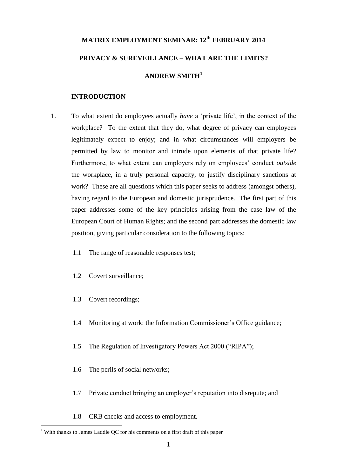# **MATRIX EMPLOYMENT SEMINAR: 12th FEBRUARY 2014 PRIVACY & SUREVEILLANCE – WHAT ARE THE LIMITS? ANDREW SMITH<sup>1</sup>**

#### **INTRODUCTION**

- 1. To what extent do employees actually *have* a 'private life', in the context of the workplace? To the extent that they do, what degree of privacy can employees legitimately expect to enjoy; and in what circumstances will employers be permitted by law to monitor and intrude upon elements of that private life? Furthermore, to what extent can employers rely on employees' conduct *outside* the workplace, in a truly personal capacity, to justify disciplinary sanctions at work? These are all questions which this paper seeks to address (amongst others), having regard to the European and domestic jurisprudence. The first part of this paper addresses some of the key principles arising from the case law of the European Court of Human Rights; and the second part addresses the domestic law position, giving particular consideration to the following topics:
	- 1.1 The range of reasonable responses test;
	- 1.2 Covert surveillance;
	- 1.3 Covert recordings;

1

- 1.4 Monitoring at work: the Information Commissioner's Office guidance;
- 1.5 The Regulation of Investigatory Powers Act 2000 ("RIPA");
- 1.6 The perils of social networks;
- 1.7 Private conduct bringing an employer's reputation into disrepute; and
- 1.8 CRB checks and access to employment.

<sup>&</sup>lt;sup>1</sup> With thanks to James Laddie OC for his comments on a first draft of this paper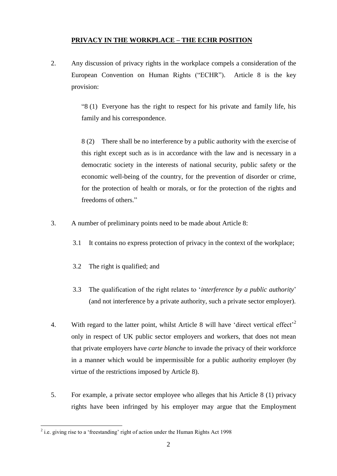## **PRIVACY IN THE WORKPLACE – THE ECHR POSITION**

2. Any discussion of privacy rights in the workplace compels a consideration of the European Convention on Human Rights ("ECHR"). Article 8 is the key provision:

> "8 (1) Everyone has the right to respect for his private and family life, his family and his correspondence.

> 8 (2) There shall be no interference by a public authority with the exercise of this right except such as is in accordance with the law and is necessary in a democratic society in the interests of national security, public safety or the economic well-being of the country, for the prevention of disorder or crime, for the protection of health or morals, or for the protection of the rights and freedoms of others."

- 3. A number of preliminary points need to be made about Article 8:
	- 3.1 It contains no express protection of privacy in the context of the workplace;
	- 3.2 The right is qualified; and
	- 3.3 The qualification of the right relates to '*interference by a public authority*' (and not interference by a private authority, such a private sector employer).
- 4. With regard to the latter point, whilst Article 8 will have 'direct vertical effect'<sup>2</sup> only in respect of UK public sector employers and workers, that does not mean that private employers have *carte blanche* to invade the privacy of their workforce in a manner which would be impermissible for a public authority employer (by virtue of the restrictions imposed by Article 8).
- 5. For example, a private sector employee who alleges that his Article 8 (1) privacy rights have been infringed by his employer may argue that the Employment

1

 $2$  i.e. giving rise to a 'freestanding' right of action under the Human Rights Act 1998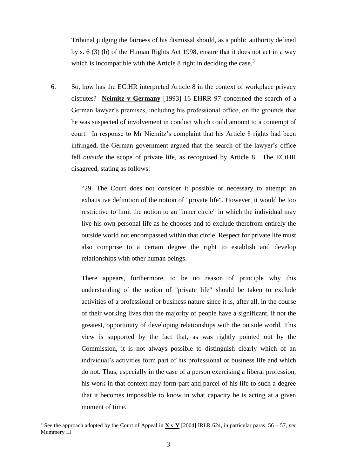Tribunal judging the fairness of his dismissal should, as a public authority defined by s. 6 (3) (b) of the Human Rights Act 1998, ensure that it does not act in a way which is incompatible with the Article 8 right in deciding the case. $3$ 

6. So, how has the ECtHR interpreted Article 8 in the context of workplace privacy disputes? **Neimitz v Germany** [1993] 16 EHRR 97 concerned the search of a German lawyer's premises, including his professional office, on the grounds that he was suspected of involvement in conduct which could amount to a contempt of court. In response to Mr Niemitz's complaint that his Article 8 rights had been infringed, the German government argued that the search of the lawyer's office fell *outside* the scope of private life, as recognised by Article 8. The ECtHR disagreed, stating as follows:

> "29. The Court does not consider it possible or necessary to attempt an exhaustive definition of the notion of "private life". However, it would be too restrictive to limit the notion to an "inner circle" in which the individual may live his own personal life as he chooses and to exclude therefrom entirely the outside world not encompassed within that circle. Respect for private life must also comprise to a certain degree the right to establish and develop relationships with other human beings.

> There appears, furthermore, to be no reason of principle why this understanding of the notion of "private life" should be taken to exclude activities of a professional or business nature since it is, after all, in the course of their working lives that the majority of people have a significant, if not the greatest, opportunity of developing relationships with the outside world. This view is supported by the fact that, as was rightly pointed out by the Commission, it is not always possible to distinguish clearly which of an individual's activities form part of his professional or business life and which do not. Thus, especially in the case of a person exercising a liberal profession, his work in that context may form part and parcel of his life to such a degree that it becomes impossible to know in what capacity he is acting at a given moment of time.

<u>.</u>

<sup>&</sup>lt;sup>3</sup> See the approach adopted by the Court of Appeal in  $X \times Y$  [2004] IRLR 624, in particular paras. 56 – 57, *per* Mummery LJ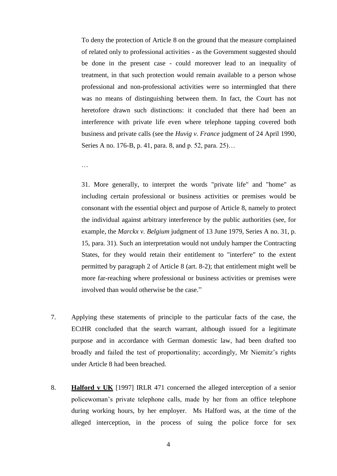To deny the protection of Article 8 on the ground that the measure complained of related only to professional activities - as the Government suggested should be done in the present case - could moreover lead to an inequality of treatment, in that such protection would remain available to a person whose professional and non-professional activities were so intermingled that there was no means of distinguishing between them. In fact, the Court has not heretofore drawn such distinctions: it concluded that there had been an interference with private life even where telephone tapping covered both business and private calls (see the *Huvig v. France* judgment of 24 April 1990, Series A no. 176-B, p. 41, para. 8, and p. 52, para. 25)…

…

31. More generally, to interpret the words "private life" and "home" as including certain professional or business activities or premises would be consonant with the essential object and purpose of Article 8, namely to protect the individual against arbitrary interference by the public authorities (see, for example, the *Marckx v. Belgium* judgment of 13 June 1979, Series A no. 31, p. 15, para. 31). Such an interpretation would not unduly hamper the Contracting States, for they would retain their entitlement to "interfere" to the extent permitted by paragraph 2 of Article 8 (art. 8-2); that entitlement might well be more far-reaching where professional or business activities or premises were involved than would otherwise be the case."

- 7. Applying these statements of principle to the particular facts of the case, the ECtHR concluded that the search warrant, although issued for a legitimate purpose and in accordance with German domestic law, had been drafted too broadly and failed the test of proportionality; accordingly, Mr Niemitz's rights under Article 8 had been breached.
- 8. **Halford v UK** [1997] IRLR 471 concerned the alleged interception of a senior policewoman's private telephone calls, made by her from an office telephone during working hours, by her employer. Ms Halford was, at the time of the alleged interception, in the process of suing the police force for sex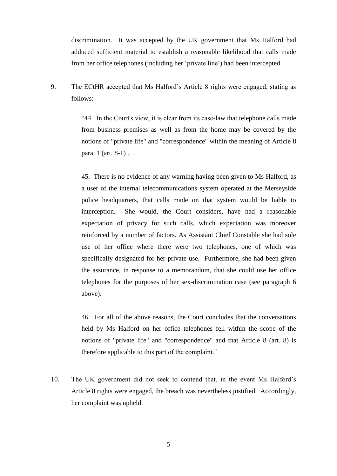discrimination. It was accepted by the UK government that Ms Halford had adduced sufficient material to establish a reasonable likelihood that calls made from her office telephones (including her 'private line') had been intercepted.

9. The ECtHR accepted that Ms Halford's Article 8 rights were engaged, stating as follows:

> "44. In the Court's view, it is clear from its case-law that telephone calls made from business premises as well as from the home may be covered by the notions of "private life" and "correspondence" within the meaning of Article 8 para. 1 (art. 8-1) ….

> 45. There is no evidence of any warning having been given to Ms Halford, as a user of the internal telecommunications system operated at the Merseyside police headquarters, that calls made on that system would be liable to interception. She would, the Court considers, have had a reasonable expectation of privacy for such calls, which expectation was moreover reinforced by a number of factors. As Assistant Chief Constable she had sole use of her office where there were two telephones, one of which was specifically designated for her private use. Furthermore, she had been given the assurance, in response to a memorandum, that she could use her office telephones for the purposes of her sex-discrimination case (see paragraph 6 above).

> 46. For all of the above reasons, the Court concludes that the conversations held by Ms Halford on her office telephones fell within the scope of the notions of "private life" and "correspondence" and that Article 8 (art. 8) is therefore applicable to this part of the complaint."

10. The UK government did not seek to contend that, in the event Ms Halford's Article 8 rights were engaged, the breach was nevertheless justified. Accordingly, her complaint was upheld.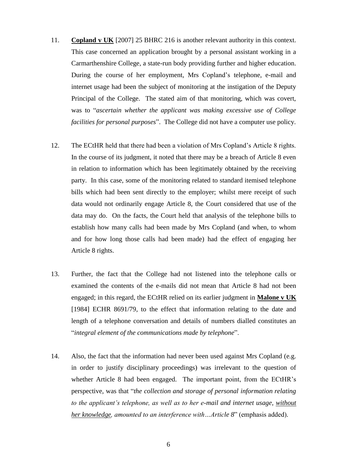- 11. **Copland v UK** [2007] 25 BHRC 216 is another relevant authority in this context. This case concerned an application brought by a personal assistant working in a Carmarthenshire College, a state-run body providing further and higher education. During the course of her employment, Mrs Copland's telephone, e-mail and internet usage had been the subject of monitoring at the instigation of the Deputy Principal of the College. The stated aim of that monitoring, which was covert, was to "*ascertain whether the applicant was making excessive use of College facilities for personal purposes*". The College did not have a computer use policy.
- 12. The ECtHR held that there had been a violation of Mrs Copland's Article 8 rights. In the course of its judgment, it noted that there may be a breach of Article 8 even in relation to information which has been legitimately obtained by the receiving party. In this case, some of the monitoring related to standard itemised telephone bills which had been sent directly to the employer; whilst mere receipt of such data would not ordinarily engage Article 8, the Court considered that use of the data may do. On the facts, the Court held that analysis of the telephone bills to establish how many calls had been made by Mrs Copland (and when, to whom and for how long those calls had been made) had the effect of engaging her Article 8 rights.
- 13. Further, the fact that the College had not listened into the telephone calls or examined the contents of the e-mails did not mean that Article 8 had not been engaged; in this regard, the ECtHR relied on its earlier judgment in **Malone v UK** [\[1984\] ECHR 8691/79,](https://www.lexisnexis.com/uk/legal/search/enhRunRemoteLink.do?A=0.06440277404388006&service=citation&langcountry=GB&backKey=20_T19116398505&linkInfo=F%23GB%23ECHR%23vol%2579%25sel1%251984%25page%258691%25year%251984%25sel2%2579%25&ersKey=23_T19116395895) to the effect that information relating to the date and length of a telephone conversation and details of numbers dialled constitutes an "*integral element of the communications made by telephone*".
- 14. Also, the fact that the information had never been used against Mrs Copland (e.g. in order to justify disciplinary proceedings) was irrelevant to the question of whether Article 8 had been engaged. The important point, from the ECtHR's perspective, was that "*the collection and storage of personal information relating to the applicant's telephone, as well as to her e-mail and internet usage, without her knowledge, amounted to an interference with…Article 8*" (emphasis added).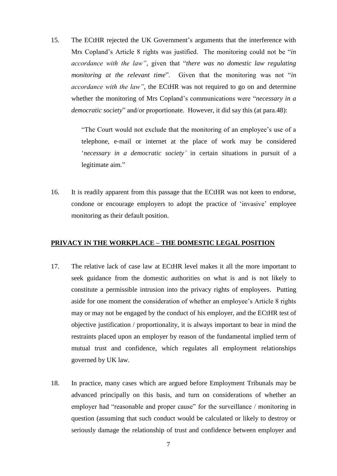15. The ECtHR rejected the UK Government's arguments that the interference with Mrs Copland's Article 8 rights was justified. The monitoring could not be "*in accordance with the law"*, given that "*there was no domestic law regulating monitoring at the relevant time*". Given that the monitoring was not "*in accordance with the law"*, the ECtHR was not required to go on and determine whether the monitoring of Mrs Copland's communications were "*necessary in a democratic society*" and/or proportionate. However, it did say this (at para.48):

> "The Court would not exclude that the monitoring of an employee's use of a telephone, e-mail or internet at the place of work may be considered '*necessary in a democratic society'* in certain situations in pursuit of a legitimate aim."

16. It is readily apparent from this passage that the ECtHR was not keen to endorse, condone or encourage employers to adopt the practice of 'invasive' employee monitoring as their default position.

#### **PRIVACY IN THE WORKPLACE – THE DOMESTIC LEGAL POSITION**

- 17. The relative lack of case law at ECtHR level makes it all the more important to seek guidance from the domestic authorities on what is and is not likely to constitute a permissible intrusion into the privacy rights of employees. Putting aside for one moment the consideration of whether an employee's Article 8 rights may or may not be engaged by the conduct of his employer, and the ECtHR test of objective justification / proportionality, it is always important to bear in mind the restraints placed upon an employer by reason of the fundamental implied term of mutual trust and confidence, which regulates all employment relationships governed by UK law.
- 18. In practice, many cases which are argued before Employment Tribunals may be advanced principally on this basis, and turn on considerations of whether an employer had "reasonable and proper cause" for the surveillance / monitoring in question (assuming that such conduct would be calculated or likely to destroy or seriously damage the relationship of trust and confidence between employer and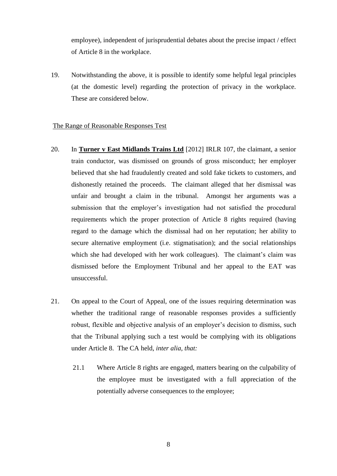employee), independent of jurisprudential debates about the precise impact / effect of Article 8 in the workplace.

19. Notwithstanding the above, it is possible to identify some helpful legal principles (at the domestic level) regarding the protection of privacy in the workplace. These are considered below.

#### The Range of Reasonable Responses Test

- 20. In **Turner v East Midlands Trains Ltd** [2012] IRLR 107, the claimant, a senior train conductor, was dismissed on grounds of gross misconduct; her employer believed that she had fraudulently created and sold fake tickets to customers, and dishonestly retained the proceeds. The claimant alleged that her dismissal was unfair and brought a claim in the tribunal. Amongst her arguments was a submission that the employer's investigation had not satisfied the procedural requirements which the proper protection of Article 8 rights required (having regard to the damage which the dismissal had on her reputation; her ability to secure alternative employment (i.e. stigmatisation); and the social relationships which she had developed with her work colleagues). The claimant's claim was dismissed before the Employment Tribunal and her appeal to the EAT was unsuccessful.
- 21. On appeal to the Court of Appeal, one of the issues requiring determination was whether the traditional range of reasonable responses provides a sufficiently robust, flexible and objective analysis of an employer's decision to dismiss, such that the Tribunal applying such a test would be complying with its obligations under Article 8. The CA held, *inter alia, that:*
	- 21.1 Where Article 8 rights are engaged, matters bearing on the culpability of the employee must be investigated with a full appreciation of the potentially adverse consequences to the employee;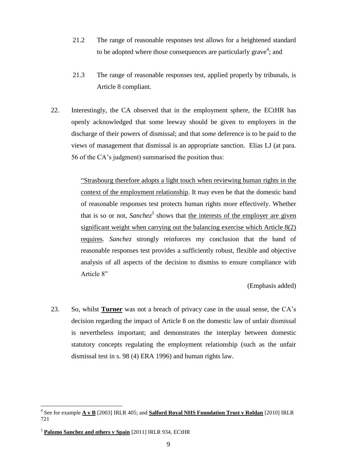- 21.2 The range of reasonable responses test allows for a heightened standard to be adopted where those consequences are particularly grave<sup>4</sup>; and
- 21.3 The range of reasonable responses test, applied properly by tribunals, is Article 8 compliant.
- 22. Interestingly, the CA observed that in the employment sphere, the ECtHR has openly acknowledged that some leeway should be given to employers in the discharge of their powers of dismissal; and that *some* deference is to be paid to the views of management that dismissal is an appropriate sanction. Elias LJ (at para. 56 of the CA's judgment) summarised the position thus:

"Strasbourg therefore adopts a light touch when reviewing human rights in the context of the employment relationship. It may even be that the domestic band of reasonable responses test protects human rights more effectively. Whether that is so or not, *Sanchez*<sup>5</sup> shows that the interests of the employer are given significant weight when carrying out the balancing exercise which Article 8(2) requires. *Sanchez* strongly reinforces my conclusion that the band of reasonable responses test provides a sufficiently robust, flexible and objective analysis of all aspects of the decision to dismiss to ensure compliance with Article 8"

(Emphasis added)

23. So, whilst **Turner** was not a breach of privacy case in the usual sense, the CA's decision regarding the impact of Article 8 on the domestic law of unfair dismissal is nevertheless important; and demonstrates the interplay between domestic statutory concepts regulating the employment relationship (such as the unfair dismissal test in s. 98 (4) ERA 1996) and human rights law.

1

<sup>4</sup> See for example **A v B** [2003] IRLR 405; and **Salford Royal NHS Foundation Trust v Roldan** [2010] IRLR 721

<sup>5</sup> **Palomo Sanchez and others v Spain** [\[2011\] IRLR 934,](https://www.lexisnexis.com/uk/legal/search/enhRunRemoteLink.do?A=0.46759026823975713&service=citation&langcountry=GB&backKey=20_T19141703921&linkInfo=F%23GB%23IRLR%23sel1%252011%25page%25934%25year%252011%25&ersKey=23_T19141700582) ECtHR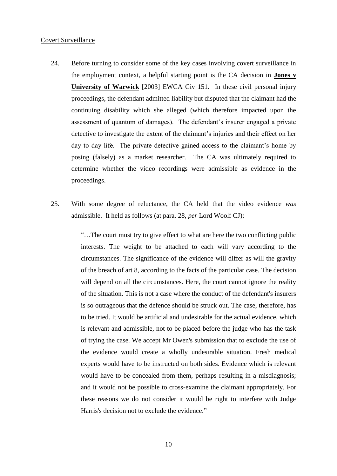#### Covert Surveillance

- 24. Before turning to consider some of the key cases involving covert surveillance in the employment context, a helpful starting point is the CA decision in **Jones v University of Warwick** [2003] EWCA Civ 151. In these civil personal injury proceedings, the defendant admitted liability but disputed that the claimant had the continuing disability which she alleged (which therefore impacted upon the assessment of quantum of damages). The defendant's insurer engaged a private detective to investigate the extent of the claimant's injuries and their effect on her day to day life. The private detective gained access to the claimant's home by posing (falsely) as a market researcher. The CA was ultimately required to determine whether the video recordings were admissible as evidence in the proceedings.
- 25. With some degree of reluctance, the CA held that the video evidence *was* admissible. It held as follows (at para. 28, *per* Lord Woolf CJ):

"…The court must try to give effect to what are here the two conflicting public interests. The weight to be attached to each will vary according to the circumstances. The significance of the evidence will differ as will the gravity of the breach of art 8, according to the facts of the particular case. The decision will depend on all the circumstances. Here, the court cannot ignore the reality of the situation. This is not a case where the conduct of the defendant's insurers is so outrageous that the defence should be struck out. The case, therefore, has to be tried. It would be artificial and undesirable for the actual evidence, which is relevant and admissible, not to be placed before the judge who has the task of trying the case. We accept Mr Owen's submission that to exclude the use of the evidence would create a wholly undesirable situation. Fresh medical experts would have to be instructed on both sides. Evidence which is relevant would have to be concealed from them, perhaps resulting in a misdiagnosis; and it would not be possible to cross-examine the claimant appropriately. For these reasons we do not consider it would be right to interfere with Judge Harris's decision not to exclude the evidence."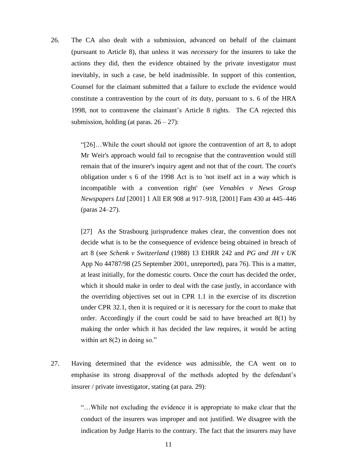26. The CA also dealt with a submission, advanced on behalf of the claimant (pursuant to Article 8), that unless it was *necessary* for the insurers to take the actions they did, then the evidence obtained by the private investigator must inevitably, in such a case, be held inadmissible. In support of this contention, Counsel for the claimant submitted that a failure to exclude the evidence would constitute a contravention by the court of *its* duty, pursuant to s. 6 of the HRA 1998, not to contravene the claimant's Article 8 rights. The CA rejected this submission, holding (at paras.  $26 - 27$ ):

> "[26]…While the court should not ignore the contravention of art 8, to adopt Mr Weir's approach would fail to recognise that the contravention would still remain that of the insurer's inquiry agent and not that of the court. The court's obligation under s 6 of the 1998 Act is to 'not itself act in a way which is incompatible with a convention right' (see *Venables v News Group Newspapers Ltd* [\[2001\] 1 All ER 908 at 917–918,](https://www.lexisnexis.com/uk/legal/search/enhRunRemoteLink.do?A=0.37516853792592675&service=citation&langcountry=GB&backKey=20_T19141851742&linkInfo=F%23GB%23ALLER%23vol%251%25sel1%252001%25page%25908%25year%252001%25tpage%25917%25sel2%251%25&ersKey=23_T19141851711) [\[2001\] Fam 430 at 445–446](https://www.lexisnexis.com/uk/legal/search/enhRunRemoteLink.do?A=0.04953358772265626&service=citation&langcountry=GB&backKey=20_T19141851742&linkInfo=F%23GB%23FAM%23sel1%252001%25page%25430%25year%252001%25tpage%25445%25&ersKey=23_T19141851711)  (paras 24–27).

> [27] As the Strasbourg jurisprudence makes clear, the convention does not decide what is to be the consequence of evidence being obtained in breach of art 8 (see *Schenk v Switzerland* (1988) 13 EHRR 242 and *PG and JH v UK* App No 44787/98 (25 September 2001, unreported), para 76). This is a matter, at least initially, for the domestic courts. Once the court has decided the order, which it should make in order to deal with the case justly, in accordance with the overriding objectives set out in CPR 1.1 in the exercise of its discretion under CPR 32.1, then it is required or it is necessary for the court to make that order. Accordingly if the court could be said to have breached art  $8(1)$  by making the order which it has decided the law requires, it would be acting within art  $8(2)$  in doing so."

27. Having determined that the evidence *was* admissible, the CA went on to emphasise its strong disapproval of the methods adopted by the defendant's insurer / private investigator, stating (at para. 29):

> "…While not excluding the evidence it is appropriate to make clear that the conduct of the insurers was improper and not justified. We disagree with the indication by Judge Harris to the contrary. The fact that the insurers may have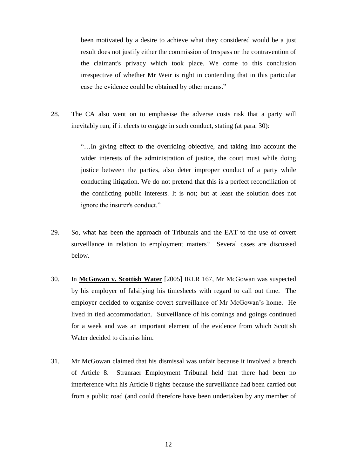been motivated by a desire to achieve what they considered would be a just result does not justify either the commission of trespass or the contravention of the claimant's privacy which took place. We come to this conclusion irrespective of whether Mr Weir is right in contending that in this particular case the evidence could be obtained by other means."

28. The CA also went on to emphasise the adverse costs risk that a party will inevitably run, if it elects to engage in such conduct, stating (at para. 30):

> "…In giving effect to the overriding objective, and taking into account the wider interests of the administration of justice, the court must while doing justice between the parties, also deter improper conduct of a party while conducting litigation. We do not pretend that this is a perfect reconciliation of the conflicting public interests. It is not; but at least the solution does not ignore the insurer's conduct."

- 29. So, what has been the approach of Tribunals and the EAT to the use of covert surveillance in relation to employment matters? Several cases are discussed below.
- 30. In **McGowan v. Scottish Water** [2005] IRLR 167, Mr McGowan was suspected by his employer of falsifying his timesheets with regard to call out time. The employer decided to organise covert surveillance of Mr McGowan's home. He lived in tied accommodation. Surveillance of his comings and goings continued for a week and was an important element of the evidence from which Scottish Water decided to dismiss him.
- 31. Mr McGowan claimed that his dismissal was unfair because it involved a breach of Article 8. Stranraer Employment Tribunal held that there had been no interference with his Article 8 rights because the surveillance had been carried out from a public road (and could therefore have been undertaken by any member of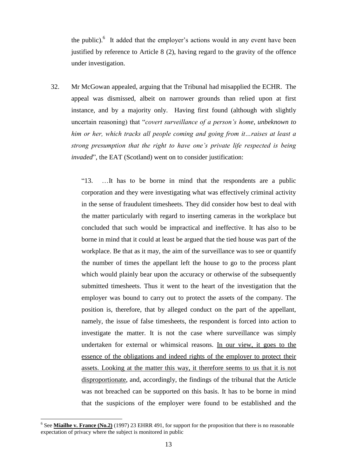the public). $6$  It added that the employer's actions would in any event have been justified by reference to Article 8 (2), having regard to the gravity of the offence under investigation.

32. Mr McGowan appealed, arguing that the Tribunal had misapplied the ECHR. The appeal was dismissed, albeit on narrower grounds than relied upon at first instance, and by a majority only. Having first found (although with slightly uncertain reasoning) that "*covert surveillance of a person's home, unbeknown to him or her, which tracks all people coming and going from it…raises at least a strong presumption that the right to have one's private life respected is being invaded*", the EAT (Scotland) went on to consider justification:

> "13. …It has to be borne in mind that the respondents are a public corporation and they were investigating what was effectively criminal activity in the sense of fraudulent timesheets. They did consider how best to deal with the matter particularly with regard to inserting cameras in the workplace but concluded that such would be impractical and ineffective. It has also to be borne in mind that it could at least be argued that the tied house was part of the workplace. Be that as it may, the aim of the surveillance was to see or quantify the number of times the appellant left the house to go to the process plant which would plainly bear upon the accuracy or otherwise of the subsequently submitted timesheets. Thus it went to the heart of the investigation that the employer was bound to carry out to protect the assets of the company. The position is, therefore, that by alleged conduct on the part of the appellant, namely, the issue of false timesheets, the respondent is forced into action to investigate the matter. It is not the case where surveillance was simply undertaken for external or whimsical reasons. In our view, it goes to the essence of the obligations and indeed rights of the employer to protect their assets. Looking at the matter this way, it therefore seems to us that it is not disproportionate, and, accordingly, the findings of the tribunal that the Article was not breached can be supported on this basis. It has to be borne in mind that the suspicions of the employer were found to be established and the

<u>.</u>

<sup>&</sup>lt;sup>6</sup> See **Miailhe v. France (No.2)** (1997) 23 EHRR 491, for support for the proposition that there is no reasonable expectation of privacy where the subject is monitored in public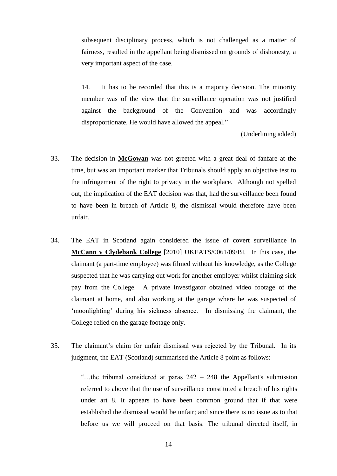subsequent disciplinary process, which is not challenged as a matter of fairness, resulted in the appellant being dismissed on grounds of dishonesty, a very important aspect of the case.

14. It has to be recorded that this is a majority decision. The minority member was of the view that the surveillance operation was not justified against the background of the Convention and was accordingly disproportionate. He would have allowed the appeal."

(Underlining added)

- 33. The decision in **McGowan** was not greeted with a great deal of fanfare at the time, but was an important marker that Tribunals should apply an objective test to the infringement of the right to privacy in the workplace. Although not spelled out, the implication of the EAT decision was that, had the surveillance been found to have been in breach of Article 8, the dismissal would therefore have been unfair.
- 34. The EAT in Scotland again considered the issue of covert surveillance in **McCann v Clydebank College** [2010] UKEATS/0061/09/BI. In this case, the claimant (a part-time employee) was filmed without his knowledge, as the College suspected that he was carrying out work for another employer whilst claiming sick pay from the College. A private investigator obtained video footage of the claimant at home, and also working at the garage where he was suspected of 'moonlighting' during his sickness absence. In dismissing the claimant, the College relied on the garage footage only.
- 35. The claimant's claim for unfair dismissal was rejected by the Tribunal. In its judgment, the EAT (Scotland) summarised the Article 8 point as follows:

"…the tribunal considered at paras 242 – 248 the Appellant's submission referred to above that the use of surveillance constituted a breach of his rights under art 8. It appears to have been common ground that if that were established the dismissal would be unfair; and since there is no issue as to that before us we will proceed on that basis. The tribunal directed itself, in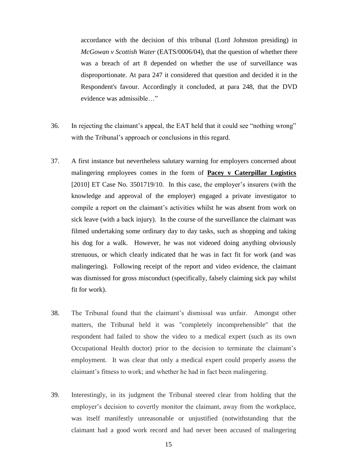accordance with the decision of this tribunal (Lord Johnston presiding) in *McGowan v Scottish Water* (EATS/0006/04), that the question of whether there was a breach of art 8 depended on whether the use of surveillance was disproportionate. At para 247 it considered that question and decided it in the Respondent's favour. Accordingly it concluded, at para 248, that the DVD evidence was admissible…"

- 36. In rejecting the claimant's appeal, the EAT held that it could see "nothing wrong" with the Tribunal's approach or conclusions in this regard.
- 37. A first instance but nevertheless salutary warning for employers concerned about malingering employees comes in the form of **Pacey v Caterpillar Logistics** [2010] ET Case No. 3501719/10. In this case, the employer's insurers (with the knowledge and approval of the employer) engaged a private investigator to compile a report on the claimant's activities whilst he was absent from work on sick leave (with a back injury). In the course of the surveillance the claimant was filmed undertaking some ordinary day to day tasks, such as shopping and taking his dog for a walk. However, he was not videoed doing anything obviously strenuous, or which clearly indicated that he was in fact fit for work (and was malingering). Following receipt of the report and video evidence, the claimant was dismissed for gross misconduct (specifically, falsely claiming sick pay whilst fit for work).
- 38. The Tribunal found that the claimant's dismissal was unfair. Amongst other matters, the Tribunal held it was "completely incomprehensible" that the respondent had failed to show the video to a medical expert (such as its own Occupational Health doctor) prior to the decision to terminate the claimant's employment. It was clear that only a medical expert could properly assess the claimant's fitness to work; and whether he had in fact been malingering.
- 39. Interestingly, in its judgment the Tribunal steered clear from holding that the employer's decision to covertly monitor the claimant, away from the workplace, was itself manifestly unreasonable or unjustified (notwithstanding that the claimant had a good work record and had never been accused of malingering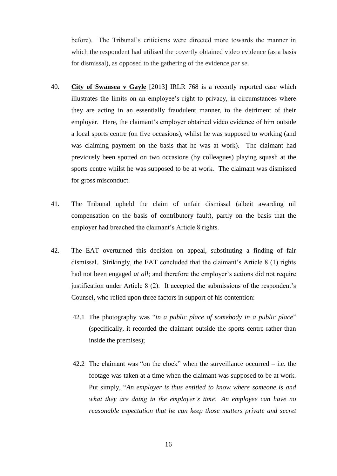before). The Tribunal's criticisms were directed more towards the manner in which the respondent had utilised the covertly obtained video evidence (as a basis for dismissal), as opposed to the gathering of the evidence *per se.*

- 40. **City of Swansea v Gayle** [2013] IRLR 768 is a recently reported case which illustrates the limits on an employee's right to privacy, in circumstances where they are acting in an essentially fraudulent manner, to the detriment of their employer. Here, the claimant's employer obtained video evidence of him outside a local sports centre (on five occasions), whilst he was supposed to working (and was claiming payment on the basis that he was at work). The claimant had previously been spotted on two occasions (by colleagues) playing squash at the sports centre whilst he was supposed to be at work. The claimant was dismissed for gross misconduct.
- 41. The Tribunal upheld the claim of unfair dismissal (albeit awarding nil compensation on the basis of contributory fault), partly on the basis that the employer had breached the claimant's Article 8 rights.
- 42. The EAT overturned this decision on appeal, substituting a finding of fair dismissal. Strikingly, the EAT concluded that the claimant's Article 8 (1) rights had not been engaged *at all*; and therefore the employer's actions did not require justification under Article 8 (2). It accepted the submissions of the respondent's Counsel, who relied upon three factors in support of his contention:
	- 42.1 The photography was "*in a public place of somebody in a public place*" (specifically, it recorded the claimant outside the sports centre rather than inside the premises);
	- 42.2 The claimant was "on the clock" when the surveillance occurred i.e. the footage was taken at a time when the claimant was supposed to be at work. Put simply, "*An employer is thus entitled to know where someone is and what they are doing in the employer's time. An employee can have no reasonable expectation that he can keep those matters private and secret*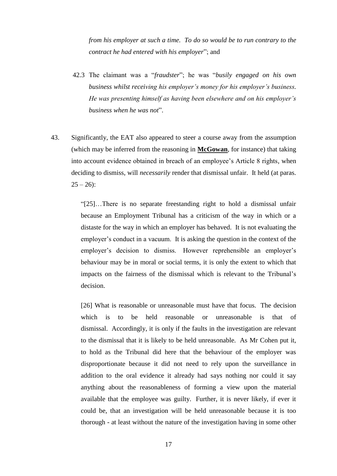*from his employer at such a time. To do so would be to run contrary to the contract he had entered with his employer*"; and

- 42.3 The claimant was a "*fraudster*"; he was "*busily engaged on his own business whilst receiving his employer's money for his employer's business. He was presenting himself as having been elsewhere and on his employer's business when he was not*".
- 43. Significantly, the EAT also appeared to steer a course away from the assumption (which may be inferred from the reasoning in **McGowan**, for instance) that taking into account evidence obtained in breach of an employee's Article 8 rights, when deciding to dismiss, will *necessarily* render that dismissal unfair. It held (at paras.  $25 - 26$ :

"[25]…There is no separate freestanding right to hold a dismissal unfair because an Employment Tribunal has a criticism of the way in which or a distaste for the way in which an employer has behaved. It is not evaluating the employer's conduct in a vacuum. It is asking the question in the context of the employer's decision to dismiss. However reprehensible an employer's behaviour may be in moral or social terms, it is only the extent to which that impacts on the fairness of the dismissal which is relevant to the Tribunal's decision.

[26] What is reasonable or unreasonable must have that focus. The decision which is to be held reasonable or unreasonable is that of dismissal. Accordingly, it is only if the faults in the investigation are relevant to the dismissal that it is likely to be held unreasonable. As Mr Cohen put it, to hold as the Tribunal did here that the behaviour of the employer was disproportionate because it did not need to rely upon the surveillance in addition to the oral evidence it already had says nothing nor could it say anything about the reasonableness of forming a view upon the material available that the employee was guilty. Further, it is never likely, if ever it could be, that an investigation will be held unreasonable because it is too thorough - at least without the nature of the investigation having in some other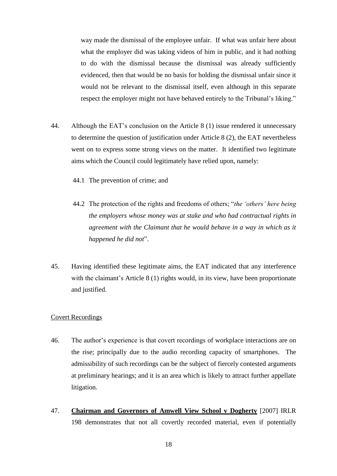way made the dismissal of the employee unfair. If what was unfair here about what the employer did was taking videos of him in public, and it had nothing to do with the dismissal because the dismissal was already sufficiently evidenced, then that would be no basis for holding the dismissal unfair since it would not be relevant to the dismissal itself, even although in this separate respect the employer might not have behaved entirely to the Tribunal's liking."

- 44. Although the EAT's conclusion on the Article 8 (1) issue rendered it unnecessary to determine the question of justification under Article 8 (2), the EAT nevertheless went on to express some strong views on the matter. It identified two legitimate aims which the Council could legitimately have relied upon, namely:
	- 44.1 The prevention of crime; and
	- 44.2 The protection of the rights and freedoms of others; "*the 'others' here being the employers whose money was at stake and who had contractual rights in agreement with the Claimant that he would behave in a way in which as it happened he did not*".
- 45. Having identified these legitimate aims, the EAT indicated that any interference with the claimant's Article 8 (1) rights would, in its view, have been proportionate and justified.

#### Covert Recordings

- 46. The author's experience is that covert recordings of workplace interactions are on the rise; principally due to the audio recording capacity of smartphones. The admissibility of such recordings can be the subject of fiercely contested arguments at preliminary hearings; and it is an area which is likely to attract further appellate litigation.
- 47. **Chairman and Governors of Amwell View School v Dogherty** [2007] IRLR 198 demonstrates that not all covertly recorded material, even if potentially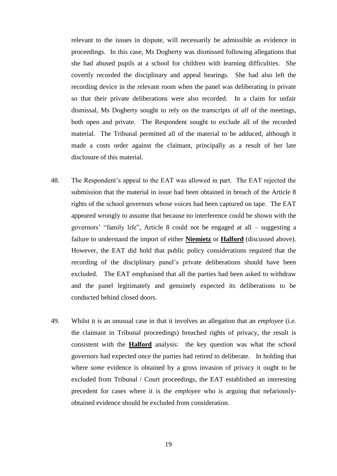relevant to the issues in dispute, will necessarily be admissible as evidence in proceedings. In this case, Ms Dogherty was dismissed following allegations that she had abused pupils at a school for children with learning difficulties. She covertly recorded the disciplinary and appeal hearings. She had also left the recording device in the relevant room when the panel was deliberating in private so that their private deliberations were also recorded. In a claim for unfair dismissal, Ms Dogherty sought to rely on the transcripts of *all* of the meetings, both open and private. The Respondent sought to exclude all of the recorded material. The Tribunal permitted all of the material to be adduced, although it made a costs order against the claimant, principally as a result of her late disclosure of this material.

- 48. The Respondent's appeal to the EAT was allowed in part. The EAT rejected the submission that the material in issue had been obtained in breach of the Article 8 rights of the school governors whose voices had been captured on tape. The EAT appeared wrongly to assume that because no interference could be shown with the governors' "family life", Article 8 could not be engaged at all – suggesting a failure to understand the import of either **Niemietz** or **Halford** (discussed above). However, the EAT did hold that public policy considerations required that the recording of the disciplinary panel's private deliberations should have been excluded. The EAT emphasised that all the parties had been asked to withdraw and the panel legitimately and genuinely expected its deliberations to be conducted behind closed doors.
- 49. Whilst it is an unusual case in that it involves an allegation that an *employee* (i.e. the claimant in Tribunal proceedings) breached rights of privacy, the result is consistent with the **Halford** analysis: the key question was what the school governors had expected once the parties had retired to deliberate. In holding that where *some* evidence is obtained by a gross invasion of privacy it ought to be excluded from Tribunal / Court proceedings, the EAT established an interesting precedent for cases where it is the *employee* who is arguing that nefariouslyobtained evidence should be excluded from consideration.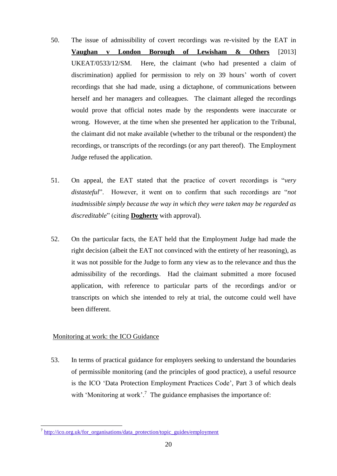- 50. The issue of admissibility of covert recordings was re-visited by the EAT in **Vaughan v London Borough of Lewisham & Others** [2013] UKEAT/0533/12/SM. Here, the claimant (who had presented a claim of discrimination) applied for permission to rely on 39 hours' worth of covert recordings that she had made, using a dictaphone, of communications between herself and her managers and colleagues. The claimant alleged the recordings would prove that official notes made by the respondents were inaccurate or wrong. However, at the time when she presented her application to the Tribunal, the claimant did not make available (whether to the tribunal or the respondent) the recordings, or transcripts of the recordings (or any part thereof). The Employment Judge refused the application.
- 51. On appeal, the EAT stated that the practice of covert recordings is "*very distasteful*". However, it went on to confirm that such recordings are "*not inadmissible simply because the way in which they were taken may be regarded as discreditable*" (citing **Dogherty** with approval).
- 52. On the particular facts, the EAT held that the Employment Judge had made the right decision (albeit the EAT not convinced with the entirety of her reasoning), as it was not possible for the Judge to form any view as to the relevance and thus the admissibility of the recordings. Had the claimant submitted a more focused application, with reference to particular parts of the recordings and/or or transcripts on which she intended to rely at trial, the outcome could well have been different.

# Monitoring at work: the ICO Guidance

53. In terms of practical guidance for employers seeking to understand the boundaries of permissible monitoring (and the principles of good practice), a useful resource is the ICO 'Data Protection Employment Practices Code', Part 3 of which deals with 'Monitoring at work'.<sup>7</sup> The guidance emphasises the importance of:

<sup>&</sup>lt;sup>7</sup> [http://ico.org.uk/for\\_organisations/data\\_protection/topic\\_guides/employment](http://ico.org.uk/for_organisations/data_protection/topic_guides/employment)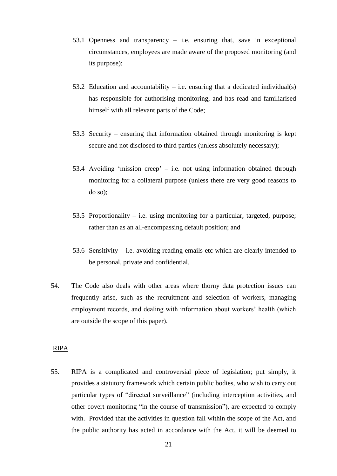- 53.1 Openness and transparency i.e. ensuring that, save in exceptional circumstances, employees are made aware of the proposed monitoring (and its purpose);
- 53.2 Education and accountability i.e. ensuring that a dedicated individual(s) has responsible for authorising monitoring, and has read and familiarised himself with all relevant parts of the Code;
- 53.3 Security ensuring that information obtained through monitoring is kept secure and not disclosed to third parties (unless absolutely necessary);
- 53.4 Avoiding 'mission creep' i.e. not using information obtained through monitoring for a collateral purpose (unless there are very good reasons to do so);
- 53.5 Proportionality i.e. using monitoring for a particular, targeted, purpose; rather than as an all-encompassing default position; and
- 53.6 Sensitivity i.e. avoiding reading emails etc which are clearly intended to be personal, private and confidential.
- 54. The Code also deals with other areas where thorny data protection issues can frequently arise, such as the recruitment and selection of workers, managing employment records, and dealing with information about workers' health (which are outside the scope of this paper).

#### RIPA

55. RIPA is a complicated and controversial piece of legislation; put simply, it provides a statutory framework which certain public bodies, who wish to carry out particular types of "directed surveillance" (including interception activities, and other covert monitoring "in the course of transmission"), are expected to comply with. Provided that the activities in question fall within the scope of the Act, and the public authority has acted in accordance with the Act, it will be deemed to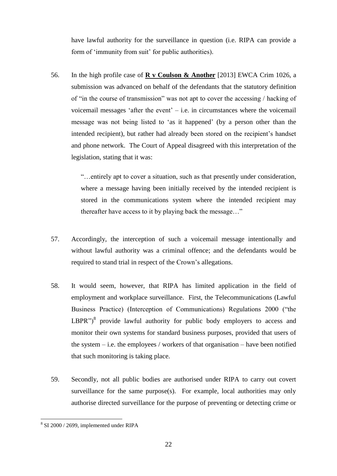have lawful authority for the surveillance in question (i.e. RIPA can provide a form of 'immunity from suit' for public authorities).

56. In the high profile case of **R v Coulson & Another** [2013] EWCA Crim 1026, a submission was advanced on behalf of the defendants that the statutory definition of "in the course of transmission" was not apt to cover the accessing / hacking of voicemail messages 'after the event' – i.e. in circumstances where the voicemail message was not being listed to 'as it happened' (by a person other than the intended recipient), but rather had already been stored on the recipient's handset and phone network. The Court of Appeal disagreed with this interpretation of the legislation, stating that it was:

> "…entirely apt to cover a situation, such as that presently under consideration, where a message having been initially received by the intended recipient is stored in the communications system where the intended recipient may thereafter have access to it by playing back the message…"

- 57. Accordingly, the interception of such a voicemail message intentionally and without lawful authority was a criminal offence; and the defendants would be required to stand trial in respect of the Crown's allegations.
- 58. It would seem, however, that RIPA has limited application in the field of employment and workplace surveillance. First, the Telecommunications (Lawful Business Practice) (Interception of Communications) Regulations 2000 ("the  $LBPR^{\prime\prime}\right)^8$  provide lawful authority for public body employers to access and monitor their own systems for standard business purposes, provided that users of the system  $-$  i.e. the employees / workers of that organisation  $-$  have been notified that such monitoring is taking place.
- 59. Secondly, not all public bodies are authorised under RIPA to carry out covert surveillance for the same purpose(s). For example, local authorities may only authorise directed surveillance for the purpose of preventing or detecting crime or

<sup>&</sup>lt;u>.</u> 8 SI 2000 / 2699, implemented under RIPA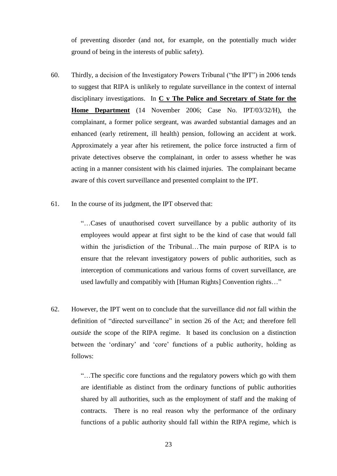of preventing disorder (and not, for example, on the potentially much wider ground of being in the interests of public safety).

- 60. Thirdly, a decision of the Investigatory Powers Tribunal ("the IPT") in 2006 tends to suggest that RIPA is unlikely to regulate surveillance in the context of internal disciplinary investigations. In **C v The Police and Secretary of State for the Home Department** (14 November 2006; Case No. IPT/03/32/H), the complainant, a former police sergeant, was awarded substantial damages and an enhanced (early retirement, ill health) pension, following an accident at work. Approximately a year after his retirement, the police force instructed a firm of private detectives observe the complainant, in order to assess whether he was acting in a manner consistent with his claimed injuries. The complainant became aware of this covert surveillance and presented complaint to the IPT.
- 61. In the course of its judgment, the IPT observed that:

"…Cases of unauthorised covert surveillance by a public authority of its employees would appear at first sight to be the kind of case that would fall within the jurisdiction of the Tribunal…The main purpose of RIPA is to ensure that the relevant investigatory powers of public authorities, such as interception of communications and various forms of covert surveillance, are used lawfully and compatibly with [Human Rights] Convention rights…"

62. However, the IPT went on to conclude that the surveillance did *not* fall within the definition of "directed surveillance" in section 26 of the Act; and therefore fell *outside* the scope of the RIPA regime. It based its conclusion on a distinction between the 'ordinary' and 'core' functions of a public authority, holding as follows:

> "…The specific core functions and the regulatory powers which go with them are identifiable as distinct from the ordinary functions of public authorities shared by all authorities, such as the employment of staff and the making of contracts. There is no real reason why the performance of the ordinary functions of a public authority should fall within the RIPA regime, which is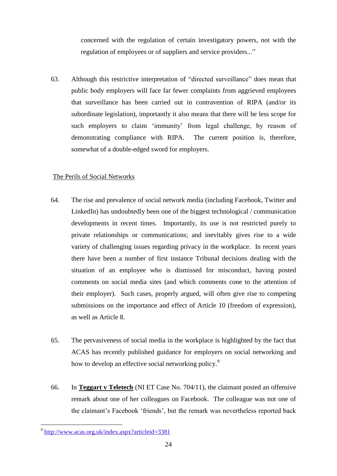concerned with the regulation of certain investigatory powers, not with the regulation of employees or of suppliers and service providers..."

63. Although this restrictive interpretation of "directed surveillance" does mean that public body employers will face far fewer complaints from aggrieved employees that surveillance has been carried out in contravention of RIPA (and/or its subordinate legislation), importantly it also means that there will be less scope for such employers to claim 'immunity' from legal challenge, by reason of demonstrating compliance with RIPA. The current position is, therefore, somewhat of a double-edged sword for employers.

#### The Perils of Social Networks

- 64. The rise and prevalence of social network media (including Facebook, Twitter and LinkedIn) has undoubtedly been one of the biggest technological / communication developments in recent times. Importantly, its use is not restricted purely to private relationships or communications; and inevitably gives rise to a wide variety of challenging issues regarding privacy in the workplace. In recent years there have been a number of first instance Tribunal decisions dealing with the situation of an employee who is dismissed for misconduct, having posted comments on social media sites (and which comments cone to the attention of their employer). Such cases, properly argued, will often give rise to competing submissions on the importance and effect of Article 10 (freedom of expression), as well as Article 8.
- 65. The pervasiveness of social media in the workplace is highlighted by the fact that ACAS has recently published guidance for employers on social networking and how to develop an effective social networking policy.<sup>9</sup>
- 66. In **Teggart v Teletech** (NI ET Case No. 704/11), the claimant posted an offensive remark about one of her colleagues on Facebook. The colleague was not one of the claimant's Facebook 'friends', but the remark was nevertheless reported back

1

<sup>&</sup>lt;sup>9</sup> <http://www.acas.org.uk/index.aspx?articleid=3381>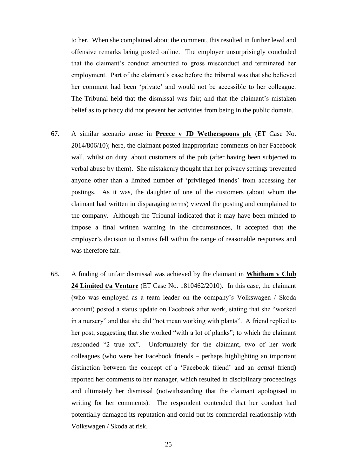to her. When she complained about the comment, this resulted in further lewd and offensive remarks being posted online. The employer unsurprisingly concluded that the claimant's conduct amounted to gross misconduct and terminated her employment. Part of the claimant's case before the tribunal was that she believed her comment had been 'private' and would not be accessible to her colleague. The Tribunal held that the dismissal was fair; and that the claimant's mistaken belief as to privacy did not prevent her activities from being in the public domain.

- 67. A similar scenario arose in **Preece v JD Wetherspoons plc** (ET Case No. 2014/806/10); here, the claimant posted inappropriate comments on her Facebook wall, whilst on duty, about customers of the pub (after having been subjected to verbal abuse by them). She mistakenly thought that her privacy settings prevented anyone other than a limited number of 'privileged friends' from accessing her postings. As it was, the daughter of one of the customers (about whom the claimant had written in disparaging terms) viewed the posting and complained to the company. Although the Tribunal indicated that it may have been minded to impose a final written warning in the circumstances, it accepted that the employer's decision to dismiss fell within the range of reasonable responses and was therefore fair.
- 68. A finding of unfair dismissal was achieved by the claimant in **Whitham v Club 24 Limited t/a Venture** (ET Case No. 1810462/2010). In this case, the claimant (who was employed as a team leader on the company's Volkswagen / Skoda account) posted a status update on Facebook after work, stating that she "worked in a nursery" and that she did "not mean working with plants". A friend replied to her post, suggesting that she worked "with a lot of planks"; to which the claimant responded "2 true xx". Unfortunately for the claimant, two of her work colleagues (who were her Facebook friends – perhaps highlighting an important distinction between the concept of a 'Facebook friend' and an *actual* friend) reported her comments to her manager, which resulted in disciplinary proceedings and ultimately her dismissal (notwithstanding that the claimant apologised in writing for her comments). The respondent contended that her conduct had potentially damaged its reputation and could put its commercial relationship with Volkswagen / Skoda at risk.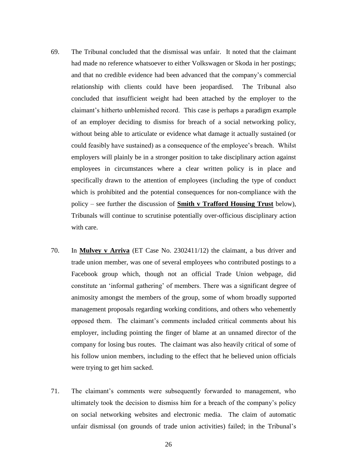- 69. The Tribunal concluded that the dismissal was unfair. It noted that the claimant had made no reference whatsoever to either Volkswagen or Skoda in her postings; and that no credible evidence had been advanced that the company's commercial relationship with clients could have been jeopardised. The Tribunal also concluded that insufficient weight had been attached by the employer to the claimant's hitherto unblemished record. This case is perhaps a paradigm example of an employer deciding to dismiss for breach of a social networking policy, without being able to articulate or evidence what damage it actually sustained (or could feasibly have sustained) as a consequence of the employee's breach. Whilst employers will plainly be in a stronger position to take disciplinary action against employees in circumstances where a clear written policy is in place and specifically drawn to the attention of employees (including the type of conduct which is prohibited and the potential consequences for non-compliance with the policy – see further the discussion of **Smith v Trafford Housing Trust** below), Tribunals will continue to scrutinise potentially over-officious disciplinary action with care.
- 70. In **Mulvey v Arriva** (ET Case No. 2302411/12) the claimant, a bus driver and trade union member, was one of several employees who contributed postings to a Facebook group which, though not an official Trade Union webpage, did constitute an 'informal gathering' of members. There was a significant degree of animosity amongst the members of the group, some of whom broadly supported management proposals regarding working conditions, and others who vehemently opposed them. The claimant's comments included critical comments about his employer, including pointing the finger of blame at an unnamed director of the company for losing bus routes. The claimant was also heavily critical of some of his follow union members, including to the effect that he believed union officials were trying to get him sacked.
- 71. The claimant's comments were subsequently forwarded to management, who ultimately took the decision to dismiss him for a breach of the company's policy on social networking websites and electronic media. The claim of automatic unfair dismissal (on grounds of trade union activities) failed; in the Tribunal's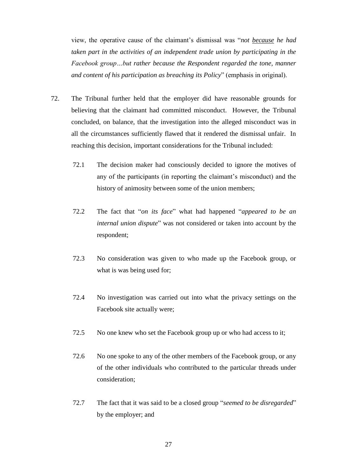view, the operative cause of the claimant's dismissal was "*not because he had taken part in the activities of an independent trade union by participating in the Facebook group…but rather because the Respondent regarded the tone, manner and content of his participation as breaching its Policy*" (emphasis in original).

- 72. The Tribunal further held that the employer did have reasonable grounds for believing that the claimant had committed misconduct. However, the Tribunal concluded, on balance, that the investigation into the alleged misconduct was in all the circumstances sufficiently flawed that it rendered the dismissal unfair. In reaching this decision, important considerations for the Tribunal included:
	- 72.1 The decision maker had consciously decided to ignore the motives of any of the participants (in reporting the claimant's misconduct) and the history of animosity between some of the union members;
	- 72.2 The fact that "*on its face*" what had happened "*appeared to be an internal union dispute*" was not considered or taken into account by the respondent;
	- 72.3 No consideration was given to who made up the Facebook group, or what is was being used for;
	- 72.4 No investigation was carried out into what the privacy settings on the Facebook site actually were;
	- 72.5 No one knew who set the Facebook group up or who had access to it;
	- 72.6 No one spoke to any of the other members of the Facebook group, or any of the other individuals who contributed to the particular threads under consideration;
	- 72.7 The fact that it was said to be a closed group "*seemed to be disregarded*" by the employer; and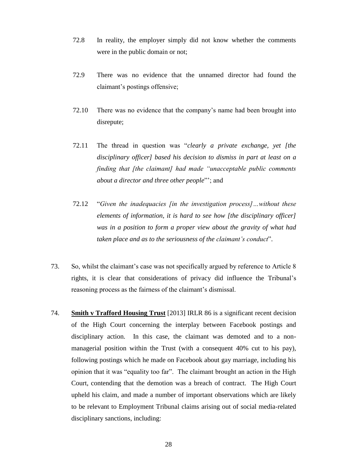- 72.8 In reality, the employer simply did not know whether the comments were in the public domain or not;
- 72.9 There was no evidence that the unnamed director had found the claimant's postings offensive;
- 72.10 There was no evidence that the company's name had been brought into disrepute;
- 72.11 The thread in question was "*clearly a private exchange, yet [the disciplinary officer] based his decision to dismiss in part at least on a finding that [the claimant] had made "unacceptable public comments about a director and three other people*"'; and
- 72.12 "*Given the inadequacies [in the investigation process]…without these elements of information, it is hard to see how [the disciplinary officer] was in a position to form a proper view about the gravity of what had taken place and as to the seriousness of the claimant's conduct*".
- 73. So, whilst the claimant's case was not specifically argued by reference to Article 8 rights, it is clear that considerations of privacy did influence the Tribunal's reasoning process as the fairness of the claimant's dismissal.
- 74. **Smith v Trafford Housing Trust** [2013] IRLR 86 is a significant recent decision of the High Court concerning the interplay between Facebook postings and disciplinary action. In this case, the claimant was demoted and to a nonmanagerial position within the Trust (with a consequent 40% cut to his pay), following postings which he made on Facebook about gay marriage, including his opinion that it was "equality too far". The claimant brought an action in the High Court, contending that the demotion was a breach of contract. The High Court upheld his claim, and made a number of important observations which are likely to be relevant to Employment Tribunal claims arising out of social media-related disciplinary sanctions, including: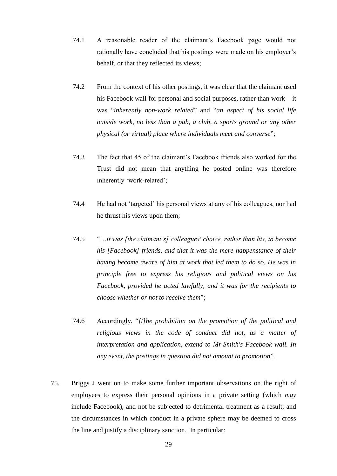- 74.1 A reasonable reader of the claimant's Facebook page would not rationally have concluded that his postings were made on his employer's behalf, or that they reflected its views;
- 74.2 From the context of his other postings, it was clear that the claimant used his Facebook wall for personal and social purposes, rather than work – it was "*inherently non-work related*" and "*an aspect of his social life outside work, no less than a pub, a club, a sports ground or any other physical (or virtual) place where individuals meet and converse*";
- 74.3 The fact that 45 of the claimant's Facebook friends also worked for the Trust did not mean that anything he posted online was therefore inherently 'work-related';
- 74.4 He had not 'targeted' his personal views at any of his colleagues, nor had he thrust his views upon them;
- 74.5 "…*it was [the claimant's] colleagues' choice, rather than his, to become his [Facebook] friends, and that it was the mere happenstance of their having become aware of him at work that led them to do so. He was in principle free to express his religious and political views on his Facebook, provided he acted lawfully, and it was for the recipients to choose whether or not to receive them*";
- 74.6 Accordingly, "*[t]he prohibition on the promotion of the political and religious views in the code of conduct did not, as a matter of interpretation and application, extend to Mr Smith's Facebook wall. In any event, the postings in question did not amount to promotion*".
- 75. Briggs J went on to make some further important observations on the right of employees to express their personal opinions in a private setting (which *may* include Facebook), and not be subjected to detrimental treatment as a result; and the circumstances in which conduct in a private sphere may be deemed to cross the line and justify a disciplinary sanction. In particular: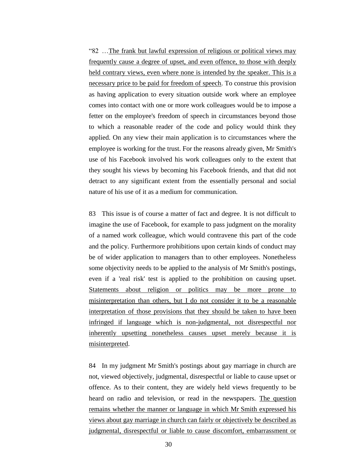"82 …The frank but lawful expression of religious or political views may frequently cause a degree of upset, and even offence, to those with deeply held contrary views, even where none is intended by the speaker. This is a necessary price to be paid for freedom of speech. To construe this provision as having application to every situation outside work where an employee comes into contact with one or more work colleagues would be to impose a fetter on the employee's freedom of speech in circumstances beyond those to which a reasonable reader of the code and policy would think they applied. On any view their main application is to circumstances where the employee is working for the trust. For the reasons already given, Mr Smith's use of his Facebook involved his work colleagues only to the extent that they sought his views by becoming his Facebook friends, and that did not detract to any significant extent from the essentially personal and social nature of his use of it as a medium for communication.

83 This issue is of course a matter of fact and degree. It is not difficult to imagine the use of Facebook, for example to pass judgment on the morality of a named work colleague, which would contravene this part of the code and the policy. Furthermore prohibitions upon certain kinds of conduct may be of wider application to managers than to other employees. Nonetheless some objectivity needs to be applied to the analysis of Mr Smith's postings, even if a 'real risk' test is applied to the prohibition on causing upset. Statements about religion or politics may be more prone to misinterpretation than others, but I do not consider it to be a reasonable interpretation of those provisions that they should be taken to have been infringed if language which is non-judgmental, not disrespectful nor inherently upsetting nonetheless causes upset merely because it is misinterpreted.

84 In my judgment Mr Smith's postings about gay marriage in church are not, viewed objectively, judgmental, disrespectful or liable to cause upset or offence. As to their content, they are widely held views frequently to be heard on radio and television, or read in the newspapers. The question remains whether the manner or language in which Mr Smith expressed his views about gay marriage in church can fairly or objectively be described as judgmental, disrespectful or liable to cause discomfort, embarrassment or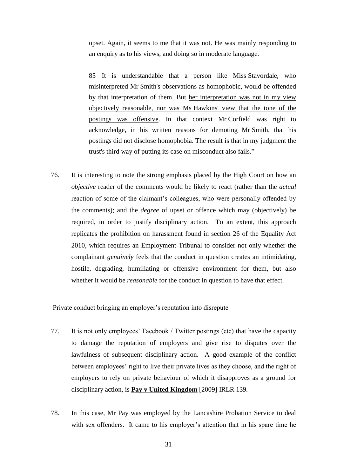upset. Again, it seems to me that it was not. He was mainly responding to an enquiry as to his views, and doing so in moderate language.

85 It is understandable that a person like Miss Stavordale, who misinterpreted Mr Smith's observations as homophobic, would be offended by that interpretation of them. But her interpretation was not in my view objectively reasonable, nor was Ms Hawkins' view that the tone of the postings was offensive. In that context Mr Corfield was right to acknowledge, in his written reasons for demoting Mr Smith, that his postings did not disclose homophobia. The result is that in my judgment the trust's third way of putting its case on misconduct also fails."

76. It is interesting to note the strong emphasis placed by the High Court on how an *objective* reader of the comments would be likely to react (rather than the *actual*  reaction of some of the claimant's colleagues, who were personally offended by the comments); and the *degree* of upset or offence which may (objectively) be required, in order to justify disciplinary action. To an extent, this approach replicates the prohibition on harassment found in section 26 of the Equality Act 2010, which requires an Employment Tribunal to consider not only whether the complainant *genuinely* feels that the conduct in question creates an intimidating, hostile, degrading, humiliating or offensive environment for them, but also whether it would be *reasonable* for the conduct in question to have that effect.

#### Private conduct bringing an employer's reputation into disrepute

- 77. It is not only employees' Facebook / Twitter postings (etc) that have the capacity to damage the reputation of employers and give rise to disputes over the lawfulness of subsequent disciplinary action. A good example of the conflict between employees' right to live their private lives as they choose, and the right of employers to rely on private behaviour of which it disapproves as a ground for disciplinary action, is **Pay v United Kingdom** [2009] IRLR 139*.*
- 78. In this case, Mr Pay was employed by the Lancashire Probation Service to deal with sex offenders. It came to his employer's attention that in his spare time he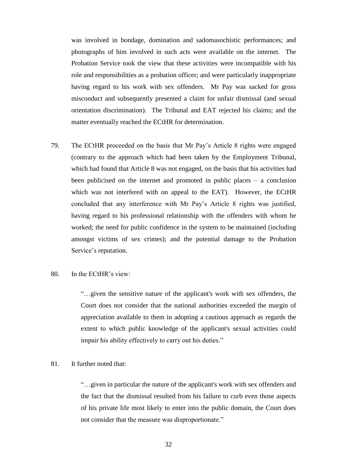was involved in bondage, domination and sadomasochistic performances; and photographs of him involved in such acts were available on the internet. The Probation Service took the view that these activities were incompatible with his role and responsibilities as a probation officer; and were particularly inappropriate having regard to his work with sex offenders. Mr Pay was sacked for gross misconduct and subsequently presented a claim for unfair dismissal (and sexual orientation discrimination). The Tribunal and EAT rejected his claims; and the matter eventually reached the ECtHR for determination.

79. The ECtHR proceeded on the basis that Mr Pay's Article 8 rights were engaged (contrary to the approach which had been taken by the Employment Tribunal, which had found that Article 8 was not engaged, on the basis that his activities had been publicised on the internet and promoted in public places – a conclusion which was not interfered with on appeal to the EAT). However, the ECtHR concluded that any interference with Mr Pay's Article 8 rights was justified, having regard to his professional relationship with the offenders with whom he worked; the need for public confidence in the system to be maintained (including amongst victims of sex crimes); and the potential damage to the Probation Service's reputation.

#### 80. In the ECtHR's view:

"…given the sensitive nature of the applicant's work with sex offenders, the Court does not consider that the national authorities exceeded the margin of appreciation available to them in adopting a cautious approach as regards the extent to which public knowledge of the applicant's sexual activities could impair his ability effectively to carry out his duties."

## 81. It further noted that:

"…given in particular the nature of the applicant's work with sex offenders and the fact that the dismissal resulted from his failure to curb even those aspects of his private life most likely to enter into the public domain, the Court does not consider that the measure was disproportionate."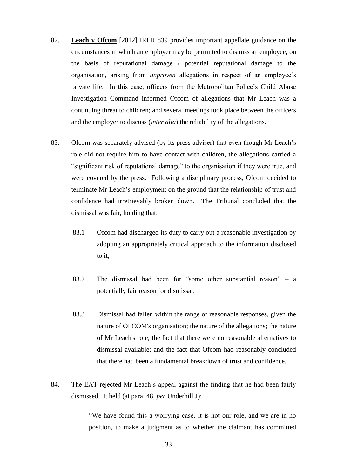- 82. **Leach v Ofcom** [2012] IRLR 839 provides important appellate guidance on the circumstances in which an employer may be permitted to dismiss an employee, on the basis of reputational damage / potential reputational damage to the organisation, arising from *unproven* allegations in respect of an employee's private life. In this case, officers from the Metropolitan Police's Child Abuse Investigation Command informed Ofcom of allegations that Mr Leach was a continuing threat to children; and several meetings took place between the officers and the employer to discuss (*inter alia*) the reliability of the allegations.
- 83. Ofcom was separately advised (by its press adviser) that even though Mr Leach's role did not require him to have contact with children, the allegations carried a "significant risk of reputational damage" to the organisation if they were true, and were covered by the press. Following a disciplinary process, Ofcom decided to terminate Mr Leach's employment on the ground that the relationship of trust and confidence had irretrievably broken down. The Tribunal concluded that the dismissal was fair, holding that:
	- 83.1 Ofcom had discharged its duty to carry out a reasonable investigation by adopting an appropriately critical approach to the information disclosed to it;
	- 83.2 The dismissal had been for "some other substantial reason" a potentially fair reason for dismissal;
	- 83.3 Dismissal had fallen within the range of reasonable responses, given the nature of OFCOM's organisation; the nature of the allegations; the nature of Mr Leach's role; the fact that there were no reasonable alternatives to dismissal available; and the fact that Ofcom had reasonably concluded that there had been a fundamental breakdown of trust and confidence.
- 84. The EAT rejected Mr Leach's appeal against the finding that he had been fairly dismissed. It held (at para. 48, *per* Underhill J):

"We have found this a worrying case. It is not our role, and we are in no position, to make a judgment as to whether the claimant has committed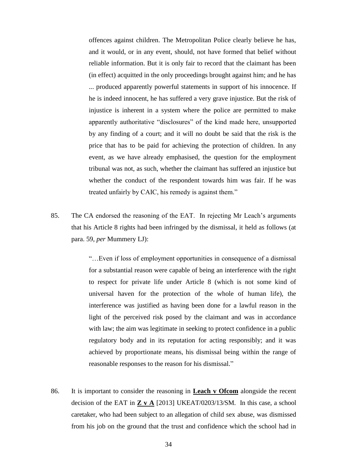offences against children. The Metropolitan Police clearly believe he has, and it would, or in any event, should, not have formed that belief without reliable information. But it is only fair to record that the claimant has been (in effect) acquitted in the only proceedings brought against him; and he has ... produced apparently powerful statements in support of his innocence. If he is indeed innocent, he has suffered a very grave injustice. But the risk of injustice is inherent in a system where the police are permitted to make apparently authoritative "disclosures" of the kind made here, unsupported by any finding of a court; and it will no doubt be said that the risk is the price that has to be paid for achieving the protection of children. In any event, as we have already emphasised, the question for the employment tribunal was not, as such, whether the claimant has suffered an injustice but whether the conduct of the respondent towards him was fair. If he was treated unfairly by CAIC, his remedy is against them."

85. The CA endorsed the reasoning of the EAT. In rejecting Mr Leach's arguments that his Article 8 rights had been infringed by the dismissal, it held as follows (at para. 59, *per* Mummery LJ):

> "…Even if loss of employment opportunities in consequence of a dismissal for a substantial reason were capable of being an interference with the right to respect for private life under Article 8 (which is not some kind of universal haven for the protection of the whole of human life), the interference was justified as having been done for a lawful reason in the light of the perceived risk posed by the claimant and was in accordance with law; the aim was legitimate in seeking to protect confidence in a public regulatory body and in its reputation for acting responsibly; and it was achieved by proportionate means, his dismissal being within the range of reasonable responses to the reason for his dismissal."

86. It is important to consider the reasoning in **Leach v Ofcom** alongside the recent decision of the EAT in **Z v A** [2013] UKEAT/0203/13/SM. In this case, a school caretaker, who had been subject to an allegation of child sex abuse, was dismissed from his job on the ground that the trust and confidence which the school had in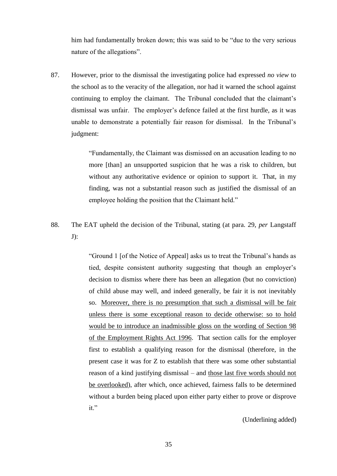him had fundamentally broken down; this was said to be "due to the very serious nature of the allegations".

87. However, prior to the dismissal the investigating police had expressed *no view* to the school as to the veracity of the allegation, nor had it warned the school against continuing to employ the claimant. The Tribunal concluded that the claimant's dismissal was unfair. The employer's defence failed at the first hurdle, as it was unable to demonstrate a potentially fair reason for dismissal. In the Tribunal's judgment:

> "Fundamentally, the Claimant was dismissed on an accusation leading to no more [than] an unsupported suspicion that he was a risk to children, but without any authoritative evidence or opinion to support it. That, in my finding, was not a substantial reason such as justified the dismissal of an employee holding the position that the Claimant held."

88. The EAT upheld the decision of the Tribunal, stating (at para. 29, *per* Langstaff J):

> "Ground 1 [of the Notice of Appeal] asks us to treat the Tribunal's hands as tied, despite consistent authority suggesting that though an employer's decision to dismiss where there has been an allegation (but no conviction) of child abuse may well, and indeed generally, be fair it is not inevitably so. Moreover, there is no presumption that such a dismissal will be fair unless there is some exceptional reason to decide otherwise: so to hold would be to introduce an inadmissible gloss on the wording of Section 98 of the Employment Rights Act 1996. That section calls for the employer first to establish a qualifying reason for the dismissal (therefore, in the present case it was for Z to establish that there was some other substantial reason of a kind justifying dismissal – and those last five words should not be overlooked), after which, once achieved, fairness falls to be determined without a burden being placed upon either party either to prove or disprove it."

> > (Underlining added)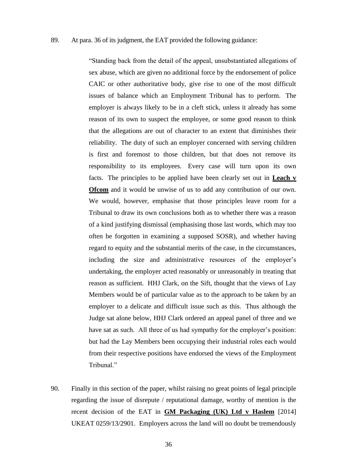#### 89. At para. 36 of its judgment, the EAT provided the following guidance:

"Standing back from the detail of the appeal, unsubstantiated allegations of sex abuse, which are given no additional force by the endorsement of police CAIC or other authoritative body, give rise to one of the most difficult issues of balance which an Employment Tribunal has to perform. The employer is always likely to be in a cleft stick, unless it already has some reason of its own to suspect the employee, or some good reason to think that the allegations are out of character to an extent that diminishes their reliability. The duty of such an employer concerned with serving children is first and foremost to those children, but that does not remove its responsibility to its employees. Every case will turn upon its own facts. The principles to be applied have been clearly set out in **Leach v Ofcom** and it would be unwise of us to add any contribution of our own. We would, however, emphasise that those principles leave room for a Tribunal to draw its own conclusions both as to whether there was a reason of a kind justifying dismissal (emphasising those last words, which may too often be forgotten in examining a supposed SOSR), and whether having regard to equity and the substantial merits of the case, in the circumstances, including the size and administrative resources of the employer's undertaking, the employer acted reasonably or unreasonably in treating that reason as sufficient. HHJ Clark, on the Sift, thought that the views of Lay Members would be of particular value as to the approach to be taken by an employer to a delicate and difficult issue such as this. Thus although the Judge sat alone below, HHJ Clark ordered an appeal panel of three and we have sat as such. All three of us had sympathy for the employer's position: but had the Lay Members been occupying their industrial roles each would from their respective positions have endorsed the views of the Employment Tribunal<sup>"</sup>

90. Finally in this section of the paper, whilst raising no great points of legal principle regarding the issue of disrepute / reputational damage, worthy of mention is the recent decision of the EAT in **GM Packaging (UK) Ltd v Haslem** [2014] UKEAT 0259/13/2901. Employers across the land will no doubt be tremendously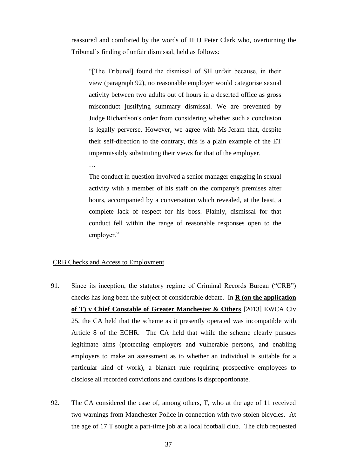reassured and comforted by the words of HHJ Peter Clark who, overturning the Tribunal's finding of unfair dismissal, held as follows:

"[The Tribunal] found the dismissal of SH unfair because, in their view (paragraph 92), no reasonable employer would categorise sexual activity between two adults out of hours in a deserted office as gross misconduct justifying summary dismissal. We are prevented by Judge Richardson's order from considering whether such a conclusion is legally perverse. However, we agree with Ms Jeram that, despite their self-direction to the contrary, this is a plain example of the ET impermissibly substituting their views for that of the employer.

The conduct in question involved a senior manager engaging in sexual activity with a member of his staff on the company's premises after hours, accompanied by a conversation which revealed, at the least, a complete lack of respect for his boss. Plainly, dismissal for that conduct fell within the range of reasonable responses open to the employer."

## CRB Checks and Access to Employment

…

- 91. Since its inception, the statutory regime of Criminal Records Bureau ("CRB") checks has long been the subject of considerable debate. In **R (on the application of T) v Chief Constable of Greater Manchester & Others** [2013] EWCA Civ 25, the CA held that the scheme as it presently operated was incompatible with Article 8 of the ECHR. The CA held that while the scheme clearly pursues legitimate aims (protecting employers and vulnerable persons, and enabling employers to make an assessment as to whether an individual is suitable for a particular kind of work), a blanket rule requiring prospective employees to disclose all recorded convictions and cautions is disproportionate.
- 92. The CA considered the case of, among others, T, who at the age of 11 received two warnings from Manchester Police in connection with two stolen bicycles. At the age of 17 T sought a part-time job at a local football club. The club requested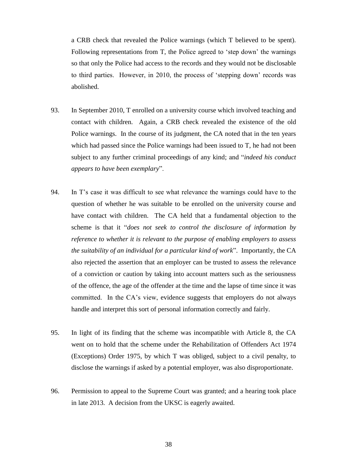a CRB check that revealed the Police warnings (which T believed to be spent). Following representations from T, the Police agreed to 'step down' the warnings so that only the Police had access to the records and they would not be disclosable to third parties. However, in 2010, the process of 'stepping down' records was abolished.

- 93. In September 2010, T enrolled on a university course which involved teaching and contact with children. Again, a CRB check revealed the existence of the old Police warnings. In the course of its judgment, the CA noted that in the ten years which had passed since the Police warnings had been issued to T, he had not been subject to any further criminal proceedings of any kind; and "*indeed his conduct appears to have been exemplary*".
- 94. In T's case it was difficult to see what relevance the warnings could have to the question of whether he was suitable to be enrolled on the university course and have contact with children. The CA held that a fundamental objection to the scheme is that it "*does not seek to control the disclosure of information by reference to whether it is relevant to the purpose of enabling employers to assess the suitability of an individual for a particular kind of work*". Importantly, the CA also rejected the assertion that an employer can be trusted to assess the relevance of a conviction or caution by taking into account matters such as the seriousness of the offence, the age of the offender at the time and the lapse of time since it was committed. In the CA's view, evidence suggests that employers do not always handle and interpret this sort of personal information correctly and fairly.
- 95. In light of its finding that the scheme was incompatible with Article 8, the CA went on to hold that the scheme under the Rehabilitation of Offenders Act 1974 (Exceptions) Order 1975, by which T was obliged, subject to a civil penalty, to disclose the warnings if asked by a potential employer, was also disproportionate.
- 96. Permission to appeal to the Supreme Court was granted; and a hearing took place in late 2013. A decision from the UKSC is eagerly awaited.